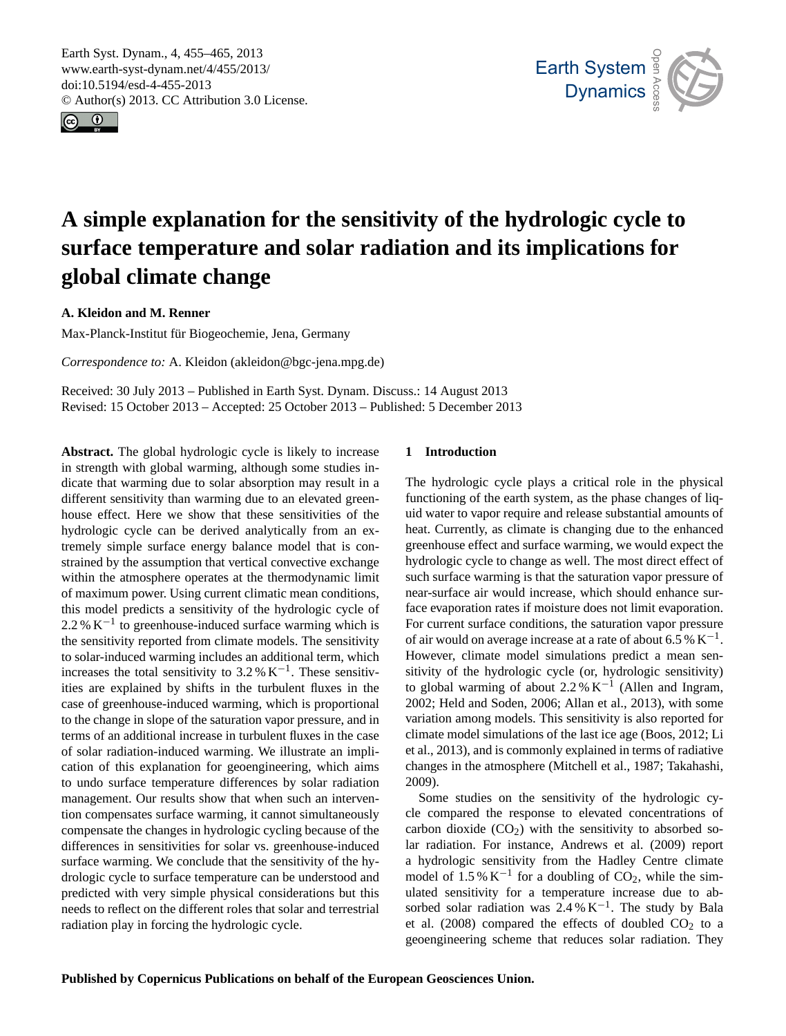<span id="page-0-0"></span>Earth Syst. Dynam., 4, 455–465, 2013 www.earth-syst-dynam.net/4/455/2013/ doi:10.5194/esd-4-455-2013 © Author(s) 2013. CC Attribution 3.0 License.





# **A simple explanation for the sensitivity of the hydrologic cycle to surface temperature and solar radiation and its implications for global climate change**

**A. Kleidon and M. Renner**

Max-Planck-Institut für Biogeochemie, Jena, Germany

*Correspondence to:* A. Kleidon (akleidon@bgc-jena.mpg.de)

Received: 30 July 2013 – Published in Earth Syst. Dynam. Discuss.: 14 August 2013 Revised: 15 October 2013 – Accepted: 25 October 2013 – Published: 5 December 2013

**Abstract.** The global hydrologic cycle is likely to increase in strength with global warming, although some studies indicate that warming due to solar absorption may result in a different sensitivity than warming due to an elevated greenhouse effect. Here we show that these sensitivities of the hydrologic cycle can be derived analytically from an extremely simple surface energy balance model that is constrained by the assumption that vertical convective exchange within the atmosphere operates at the thermodynamic limit of maximum power. Using current climatic mean conditions, this model predicts a sensitivity of the hydrologic cycle of 2.2 % K−<sup>1</sup> to greenhouse-induced surface warming which is the sensitivity reported from climate models. The sensitivity to solar-induced warming includes an additional term, which increases the total sensitivity to  $3.2\%$  K<sup>-1</sup>. These sensitivities are explained by shifts in the turbulent fluxes in the case of greenhouse-induced warming, which is proportional to the change in slope of the saturation vapor pressure, and in terms of an additional increase in turbulent fluxes in the case of solar radiation-induced warming. We illustrate an implication of this explanation for geoengineering, which aims to undo surface temperature differences by solar radiation management. Our results show that when such an intervention compensates surface warming, it cannot simultaneously compensate the changes in hydrologic cycling because of the differences in sensitivities for solar vs. greenhouse-induced surface warming. We conclude that the sensitivity of the hydrologic cycle to surface temperature can be understood and predicted with very simple physical considerations but this needs to reflect on the different roles that solar and terrestrial radiation play in forcing the hydrologic cycle.

# **1 Introduction**

The hydrologic cycle plays a critical role in the physical functioning of the earth system, as the phase changes of liquid water to vapor require and release substantial amounts of heat. Currently, as climate is changing due to the enhanced greenhouse effect and surface warming, we would expect the hydrologic cycle to change as well. The most direct effect of such surface warming is that the saturation vapor pressure of near-surface air would increase, which should enhance surface evaporation rates if moisture does not limit evaporation. For current surface conditions, the saturation vapor pressure of air would on average increase at a rate of about 6.5 %  $K^{-1}$ . However, climate model simulations predict a mean sensitivity of the hydrologic cycle (or, hydrologic sensitivity) to global warming of about 2.2% K<sup>-1</sup> [\(Allen and Ingram,](#page-9-0) [2002;](#page-9-0) [Held and Soden,](#page-9-1) [2006;](#page-9-1) [Allan et al.,](#page-9-2) [2013\)](#page-9-2), with some variation among models. This sensitivity is also reported for climate model simulations of the last ice age [\(Boos,](#page-9-3) [2012;](#page-9-3) [Li](#page-10-0) [et al.,](#page-10-0) [2013\)](#page-10-0), and is commonly explained in terms of radiative changes in the atmosphere [\(Mitchell et al.,](#page-10-1) [1987;](#page-10-1) [Takahashi,](#page-10-2) [2009\)](#page-10-2).

Some studies on the sensitivity of the hydrologic cycle compared the response to elevated concentrations of carbon dioxide  $(CO<sub>2</sub>)$  with the sensitivity to absorbed solar radiation. For instance, [Andrews et al.](#page-9-4) [\(2009\)](#page-9-4) report a hydrologic sensitivity from the Hadley Centre climate model of  $1.5\% K^{-1}$  for a doubling of CO<sub>2</sub>, while the simulated sensitivity for a temperature increase due to absorbed solar radiation was  $2.4\%$  K<sup>-1</sup>. The study by [Bala](#page-9-5) [et al.](#page-9-5) [\(2008\)](#page-9-5) compared the effects of doubled  $CO<sub>2</sub>$  to a geoengineering scheme that reduces solar radiation. They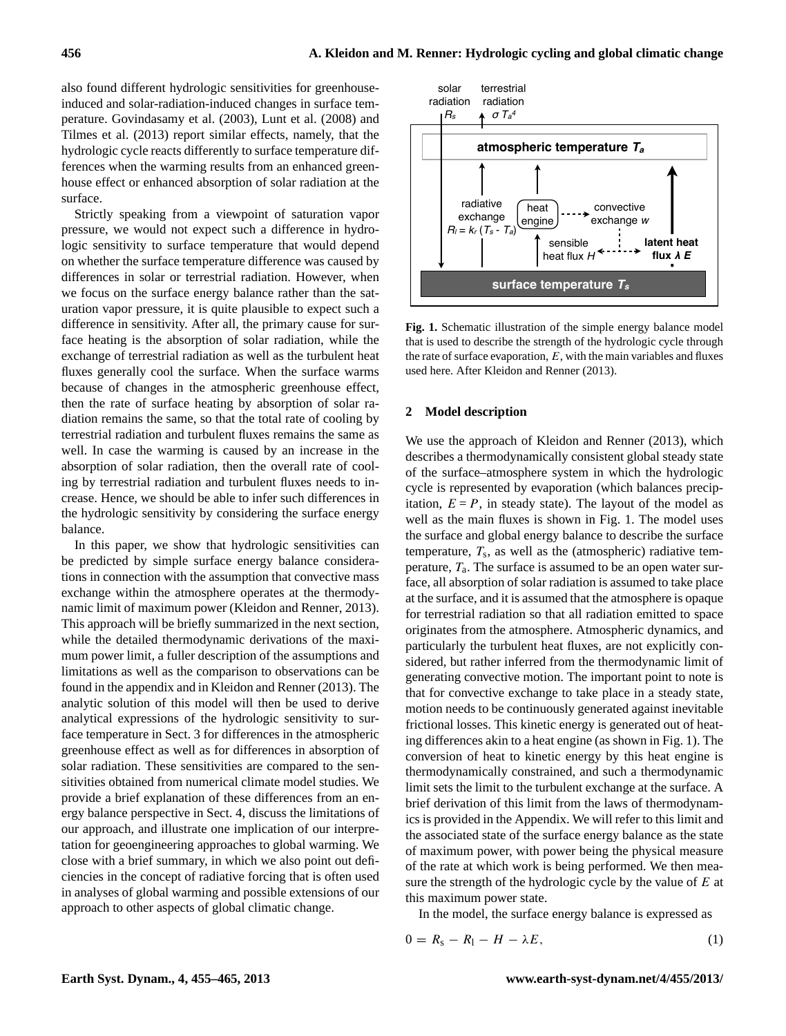also found different hydrologic sensitivities for greenhouseinduced and solar-radiation-induced changes in surface temperature. [Govindasamy et al.](#page-9-6) [\(2003\)](#page-9-6), [Lunt et al.](#page-10-3) [\(2008\)](#page-10-3) and [Tilmes et al.](#page-10-4) [\(2013\)](#page-10-4) report similar effects, namely, that the hydrologic cycle reacts differently to surface temperature differences when the warming results from an enhanced greenhouse effect or enhanced absorption of solar radiation at the surface.

Strictly speaking from a viewpoint of saturation vapor pressure, we would not expect such a difference in hydrologic sensitivity to surface temperature that would depend on whether the surface temperature difference was caused by differences in solar or terrestrial radiation. However, when we focus on the surface energy balance rather than the saturation vapor pressure, it is quite plausible to expect such a difference in sensitivity. After all, the primary cause for surface heating is the absorption of solar radiation, while the exchange of terrestrial radiation as well as the turbulent heat fluxes generally cool the surface. When the surface warms because of changes in the atmospheric greenhouse effect, then the rate of surface heating by absorption of solar radiation remains the same, so that the total rate of cooling by terrestrial radiation and turbulent fluxes remains the same as well. In case the warming is caused by an increase in the absorption of solar radiation, then the overall rate of cooling by terrestrial radiation and turbulent fluxes needs to increase. Hence, we should be able to infer such differences in the hydrologic sensitivity by considering the surface energy balance.

In this paper, we show that hydrologic sensitivities can be predicted by simple surface energy balance considerations in connection with the assumption that convective mass exchange within the atmosphere operates at the thermodynamic limit of maximum power [\(Kleidon and Renner,](#page-9-7) [2013\)](#page-9-7). This approach will be briefly summarized in the next section, while the detailed thermodynamic derivations of the maximum power limit, a fuller description of the assumptions and limitations as well as the comparison to observations can be found in the appendix and in [Kleidon and Renner](#page-9-7) [\(2013\)](#page-9-7). The analytic solution of this model will then be used to derive analytical expressions of the hydrologic sensitivity to surface temperature in Sect. [3](#page-2-0) for differences in the atmospheric greenhouse effect as well as for differences in absorption of solar radiation. These sensitivities are compared to the sensitivities obtained from numerical climate model studies. We provide a brief explanation of these differences from an energy balance perspective in Sect. [4,](#page-4-0) discuss the limitations of our approach, and illustrate one implication of our interpretation for geoengineering approaches to global warming. We close with a brief summary, in which we also point out deficiencies in the concept of radiative forcing that is often used in analyses of global warming and possible extensions of our approach to other aspects of global climatic change.



<span id="page-1-0"></span>**Fig. 1.** Schematic illustration of the simple energy balance model that is used to describe the strength of the hydrologic cycle through the rate of surface evaporation,  $E$ , with the main variables and fluxes used here. After [Kleidon and Renner](#page-9-7) [\(2013\)](#page-9-7).

# **2 Model description**

We use the approach of [Kleidon and Renner](#page-9-7) [\(2013\)](#page-9-7), which describes a thermodynamically consistent global steady state of the surface–atmosphere system in which the hydrologic cycle is represented by evaporation (which balances precipitation,  $E = P$ , in steady state). The layout of the model as well as the main fluxes is shown in Fig. [1.](#page-1-0) The model uses the surface and global energy balance to describe the surface temperature,  $T_s$ , as well as the (atmospheric) radiative temperature,  $T_a$ . The surface is assumed to be an open water surface, all absorption of solar radiation is assumed to take place at the surface, and it is assumed that the atmosphere is opaque for terrestrial radiation so that all radiation emitted to space originates from the atmosphere. Atmospheric dynamics, and particularly the turbulent heat fluxes, are not explicitly considered, but rather inferred from the thermodynamic limit of generating convective motion. The important point to note is that for convective exchange to take place in a steady state, motion needs to be continuously generated against inevitable frictional losses. This kinetic energy is generated out of heating differences akin to a heat engine (as shown in Fig. [1\)](#page-1-0). The conversion of heat to kinetic energy by this heat engine is thermodynamically constrained, and such a thermodynamic limit sets the limit to the turbulent exchange at the surface. A brief derivation of this limit from the laws of thermodynamics is provided in the Appendix. We will refer to this limit and the associated state of the surface energy balance as the state of maximum power, with power being the physical measure of the rate at which work is being performed. We then measure the strength of the hydrologic cycle by the value of  $E$  at this maximum power state.

<span id="page-1-1"></span>In the model, the surface energy balance is expressed as

$$
0 = R_{\rm s} - R_{\rm l} - H - \lambda E, \qquad (1)
$$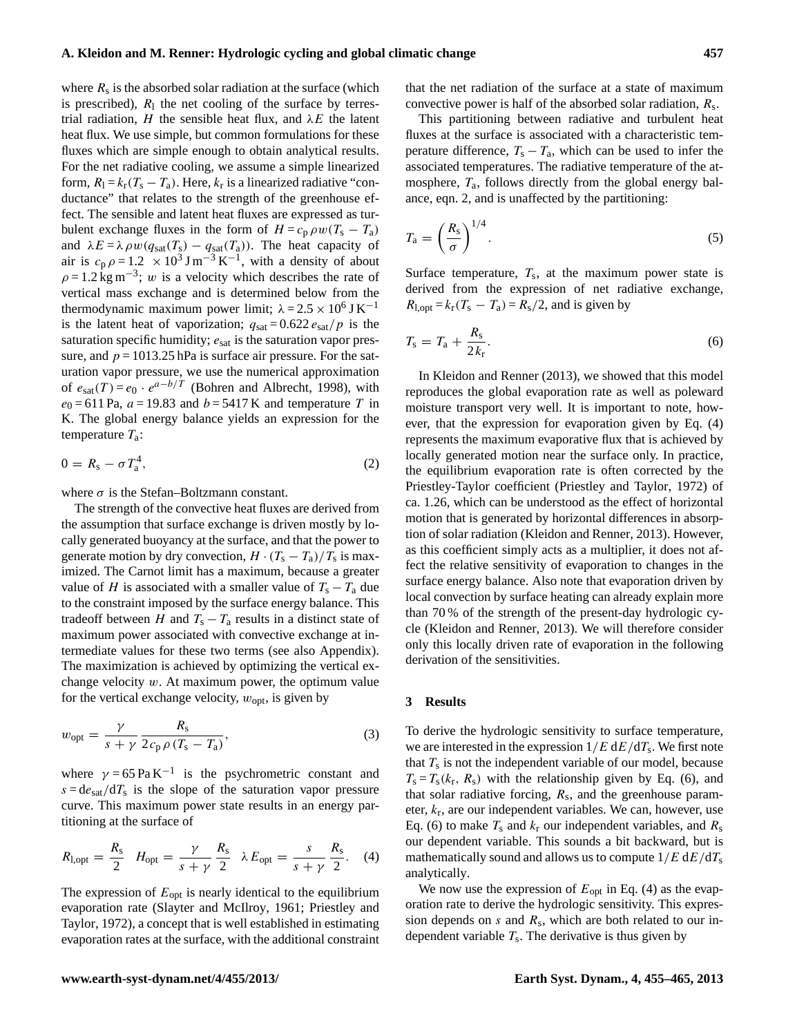where  $R_s$  is the absorbed solar radiation at the surface (which is prescribed),  $R_1$  the net cooling of the surface by terrestrial radiation, H the sensible heat flux, and  $\lambda E$  the latent heat flux. We use simple, but common formulations for these fluxes which are simple enough to obtain analytical results. For the net radiative cooling, we assume a simple linearized form,  $R_1 = k_r(T_s - T_a)$ . Here,  $k_r$  is a linearized radiative "conductance" that relates to the strength of the greenhouse effect. The sensible and latent heat fluxes are expressed as turbulent exchange fluxes in the form of  $H = c_p \rho w (T_s - T_a)$ and  $\lambda E = \lambda \rho w (q_{\text{sat}}(T_s) - q_{\text{sat}}(T_a))$ . The heat capacity of air is  $c_p \rho = 1.2 \times 10^3 \text{ J m}^{-3} \text{ K}^{-1}$ , with a density of about  $\rho = 1.2 \text{ kg m}^{-3}$ ; w is a velocity which describes the rate of vertical mass exchange and is determined below from the thermodynamic maximum power limit;  $\lambda = 2.5 \times 10^6$  J K<sup>-1</sup> is the latent heat of vaporization;  $q_{\text{sat}} = 0.622 e_{\text{sat}}/p$  is the saturation specific humidity;  $e_{\text{sat}}$  is the saturation vapor pressure, and  $p = 1013.25$  hPa is surface air pressure. For the saturation vapor pressure, we use the numerical approximation of  $e_{\text{sat}}(T) = e_0 \cdot e^{a-b/T}$  [\(Bohren and Albrecht,](#page-9-8) [1998\)](#page-9-8), with  $e_0 = 611$  Pa,  $a = 19.83$  and  $b = 5417$  K and temperature T in K. The global energy balance yields an expression for the temperature  $T_a$ :

<span id="page-2-1"></span>
$$
0 = R_{\rm s} - \sigma T_{\rm a}^4,\tag{2}
$$

where  $\sigma$  is the Stefan–Boltzmann constant.

The strength of the convective heat fluxes are derived from the assumption that surface exchange is driven mostly by locally generated buoyancy at the surface, and that the power to generate motion by dry convection,  $H \cdot (T_s - T_a)/T_s$  is maximized. The Carnot limit has a maximum, because a greater value of H is associated with a smaller value of  $T_s - T_a$  due to the constraint imposed by the surface energy balance. This tradeoff between H and  $T_s - T_a$  results in a distinct state of maximum power associated with convective exchange at intermediate values for these two terms (see also Appendix). The maximization is achieved by optimizing the vertical exchange velocity  $w$ . At maximum power, the optimum value for the vertical exchange velocity,  $w_{\text{opt}}$ , is given by

$$
w_{\rm opt} = \frac{\gamma}{s + \gamma} \frac{R_{\rm s}}{2c_{\rm p}\rho \left(T_{\rm s} - T_{\rm a}\right)},\tag{3}
$$

where  $\gamma = 65 \text{ Pa K}^{-1}$  is the psychrometric constant and  $s = d e_{\text{sat}} / dT_{\text{s}}$  is the slope of the saturation vapor pressure curve. This maximum power state results in an energy partitioning at the surface of

<span id="page-2-2"></span>
$$
R_{\text{I,opt}} = \frac{R_s}{2} \quad H_{\text{opt}} = \frac{\gamma}{s + \gamma} \frac{R_s}{2} \quad \lambda \, E_{\text{opt}} = \frac{s}{s + \gamma} \frac{R_s}{2}. \quad (4)
$$

The expression of  $E_{opt}$  is nearly identical to the equilibrium evaporation rate [\(Slayter and McIlroy,](#page-10-5) [1961;](#page-10-5) [Priestley and](#page-10-6) [Taylor,](#page-10-6) [1972\)](#page-10-6), a concept that is well established in estimating evaporation rates at the surface, with the additional constraint that the net radiation of the surface at a state of maximum convective power is half of the absorbed solar radiation,  $R_s$ .

This partitioning between radiative and turbulent heat fluxes at the surface is associated with a characteristic temperature difference,  $T_s - T_a$ , which can be used to infer the associated temperatures. The radiative temperature of the atmosphere,  $T_a$ , follows directly from the global energy balance, eqn. [2,](#page-2-1) and is unaffected by the partitioning:

<span id="page-2-4"></span>
$$
T_{\rm a} = \left(\frac{R_{\rm s}}{\sigma}\right)^{1/4}.\tag{5}
$$

<span id="page-2-3"></span>Surface temperature,  $T_s$ , at the maximum power state is derived from the expression of net radiative exchange,  $R_{\text{l,opt}} = k_{\text{r}}(T_{\text{s}} - T_{\text{a}}) = R_{\text{s}}/2$ , and is given by

$$
T_{\rm s} = T_{\rm a} + \frac{R_{\rm s}}{2k_{\rm r}}.\tag{6}
$$

In [Kleidon and Renner](#page-9-7) [\(2013\)](#page-9-7), we showed that this model reproduces the global evaporation rate as well as poleward moisture transport very well. It is important to note, however, that the expression for evaporation given by Eq. [\(4\)](#page-2-2) represents the maximum evaporative flux that is achieved by locally generated motion near the surface only. In practice, the equilibrium evaporation rate is often corrected by the Priestley-Taylor coefficient [\(Priestley and Taylor,](#page-10-6) [1972\)](#page-10-6) of ca. 1.26, which can be understood as the effect of horizontal motion that is generated by horizontal differences in absorption of solar radiation [\(Kleidon and Renner,](#page-9-7) [2013\)](#page-9-7). However, as this coefficient simply acts as a multiplier, it does not affect the relative sensitivity of evaporation to changes in the surface energy balance. Also note that evaporation driven by local convection by surface heating can already explain more than 70 % of the strength of the present-day hydrologic cycle [\(Kleidon and Renner,](#page-9-7) [2013\)](#page-9-7). We will therefore consider only this locally driven rate of evaporation in the following derivation of the sensitivities.

## <span id="page-2-5"></span><span id="page-2-0"></span>**3 Results**

To derive the hydrologic sensitivity to surface temperature, we are interested in the expression  $1/E dE/dT<sub>s</sub>$ . We first note that  $T_s$  is not the independent variable of our model, because  $T_s = T_s(k_r, R_s)$  with the relationship given by Eq. [\(6\)](#page-2-3), and that solar radiative forcing,  $R_s$ , and the greenhouse parameter,  $k_r$ , are our independent variables. We can, however, use Eq. [\(6\)](#page-2-3) to make  $T_s$  and  $k_r$  our independent variables, and  $R_s$ our dependent variable. This sounds a bit backward, but is mathematically sound and allows us to compute  $1/E dE/dT<sub>s</sub>$ analytically.

We now use the expression of  $E_{opt}$  in Eq. [\(4\)](#page-2-2) as the evaporation rate to derive the hydrologic sensitivity. This expression depends on  $s$  and  $R_s$ , which are both related to our independent variable  $T_s$ . The derivative is thus given by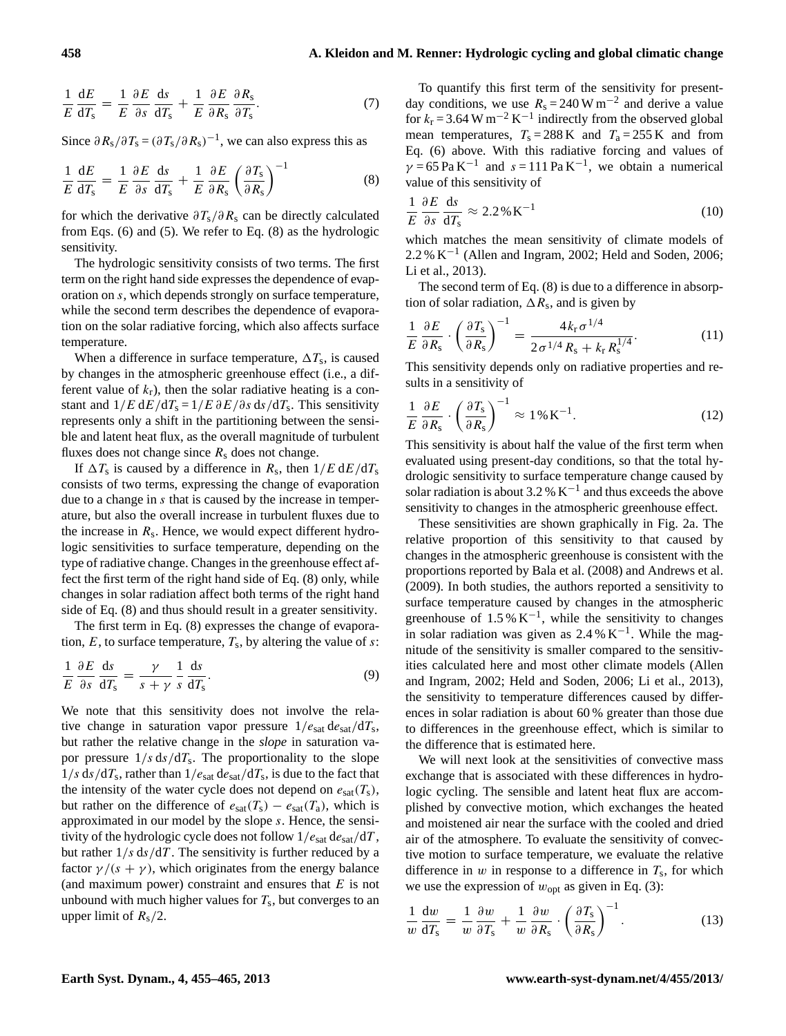# **458 A. Kleidon and M. Renner: Hydrologic cycling and global climatic change**

$$
\frac{1}{E}\frac{dE}{dT_{s}} = \frac{1}{E}\frac{\partial E}{\partial s}\frac{ds}{dT_{s}} + \frac{1}{E}\frac{\partial E}{\partial R_{s}}\frac{\partial R_{s}}{\partial T_{s}}.
$$
\n(7)

Since  $\partial R_s / \partial T_s = (\partial T_s / \partial R_s)^{-1}$ , we can also express this as

$$
\frac{1}{E}\frac{dE}{dT_s} = \frac{1}{E}\frac{\partial E}{\partial s}\frac{ds}{dT_s} + \frac{1}{E}\frac{\partial E}{\partial R_s} \left(\frac{\partial T_s}{\partial R_s}\right)^{-1}
$$
(8)

for which the derivative  $\partial T_s/\partial R_s$  can be directly calculated from Eqs. [\(6\)](#page-2-3) and [\(5\)](#page-2-4). We refer to Eq. [\(8\)](#page-3-0) as the hydrologic sensitivity.

The hydrologic sensitivity consists of two terms. The first term on the right hand side expresses the dependence of evaporation on s, which depends strongly on surface temperature, while the second term describes the dependence of evaporation on the solar radiative forcing, which also affects surface temperature.

When a difference in surface temperature,  $\Delta T_s$ , is caused by changes in the atmospheric greenhouse effect (i.e., a different value of  $k_r$ ), then the solar radiative heating is a constant and  $1/E dE/dT_s = 1/E \partial E/\partial s ds/dT_s$ . This sensitivity represents only a shift in the partitioning between the sensible and latent heat flux, as the overall magnitude of turbulent fluxes does not change since  $R_s$  does not change.

If  $\Delta T_s$  is caused by a difference in  $R_s$ , then  $1/E dE/dT_s$ consists of two terms, expressing the change of evaporation due to a change in s that is caused by the increase in temperature, but also the overall increase in turbulent fluxes due to the increase in  $R_s$ . Hence, we would expect different hydrologic sensitivities to surface temperature, depending on the type of radiative change. Changes in the greenhouse effect affect the first term of the right hand side of Eq. [\(8\)](#page-3-0) only, while changes in solar radiation affect both terms of the right hand side of Eq. [\(8\)](#page-3-0) and thus should result in a greater sensitivity.

The first term in Eq. [\(8\)](#page-3-0) expresses the change of evaporation,  $E$ , to surface temperature,  $T_s$ , by altering the value of  $s$ :

<span id="page-3-2"></span>
$$
\frac{1}{E} \frac{\partial E}{\partial s} \frac{ds}{dT_s} = \frac{\gamma}{s + \gamma} \frac{1}{s} \frac{ds}{dT_s}.
$$
 (9)

We note that this sensitivity does not involve the relative change in saturation vapor pressure  $1/e_{\text{sat}}$  de<sub>sat</sub>/dT<sub>s</sub>, but rather the relative change in the *slope* in saturation vapor pressure  $1/s \, ds/dT_s$ . The proportionality to the slope  $1/s$  ds/dT<sub>s</sub>, rather than  $1/e_{\text{sat}}$  d $e_{\text{sat}}$ /dT<sub>s</sub>, is due to the fact that the intensity of the water cycle does not depend on  $e_{sat}(T_s)$ , but rather on the difference of  $e_{\text{sat}}(T_s) - e_{\text{sat}}(T_a)$ , which is approximated in our model by the slope s. Hence, the sensitivity of the hydrologic cycle does not follow  $1/e<sub>sat</sub>$  de<sub>sat</sub>/dT, but rather  $1/s \, ds/dT$ . The sensitivity is further reduced by a factor  $\gamma/(s + \gamma)$ , which originates from the energy balance (and maximum power) constraint and ensures that  $E$  is not unbound with much higher values for  $T_s$ , but converges to an upper limit of  $R_s/2$ .

<span id="page-3-0"></span>To quantify this first term of the sensitivity for presentday conditions, we use  $R_s = 240 \text{ W m}^{-2}$  and derive a value for  $k_r = 3.64 \text{ W m}^{-2} \text{ K}^{-1}$  indirectly from the observed global mean temperatures,  $T_s = 288 \text{ K}$  and  $T_a = 255 \text{ K}$  and from Eq. [\(6\)](#page-2-3) above. With this radiative forcing and values of  $\gamma = 65 \text{ Pa K}^{-1}$  and  $s = 111 \text{ Pa K}^{-1}$ , we obtain a numerical value of this sensitivity of

$$
\frac{1}{E} \frac{\partial E}{\partial s} \frac{ds}{dT_s} \approx 2.2\% \, \text{K}^{-1} \tag{10}
$$

which matches the mean sensitivity of climate models of 2.2 % K−<sup>1</sup> [\(Allen and Ingram,](#page-9-0) [2002;](#page-9-0) [Held and Soden,](#page-9-1) [2006;](#page-9-1) [Li et al.,](#page-10-0) [2013\)](#page-10-0).

The second term of Eq. [\(8\)](#page-3-0) is due to a difference in absorption of solar radiation,  $\Delta R_s$ , and is given by

<span id="page-3-3"></span>
$$
\frac{1}{E} \frac{\partial E}{\partial R_{\rm s}} \cdot \left(\frac{\partial T_{\rm s}}{\partial R_{\rm s}}\right)^{-1} = \frac{4k_{\rm r}\sigma^{1/4}}{2\sigma^{1/4}R_{\rm s} + k_{\rm r}R_{\rm s}^{1/4}}.\tag{11}
$$

This sensitivity depends only on radiative properties and results in a sensitivity of

$$
\frac{1}{E} \frac{\partial E}{\partial R_{\rm s}} \cdot \left(\frac{\partial T_{\rm s}}{\partial R_{\rm s}}\right)^{-1} \approx 1\% \,\text{K}^{-1}.\tag{12}
$$

This sensitivity is about half the value of the first term when evaluated using present-day conditions, so that the total hydrologic sensitivity to surface temperature change caused by solar radiation is about 3.2 %  $K^{-1}$  and thus exceeds the above sensitivity to changes in the atmospheric greenhouse effect.

These sensitivities are shown graphically in Fig. [2a](#page-4-1). The relative proportion of this sensitivity to that caused by changes in the atmospheric greenhouse is consistent with the proportions reported by [Bala et al.](#page-9-5) [\(2008\)](#page-9-5) and [Andrews et al.](#page-9-4) [\(2009\)](#page-9-4). In both studies, the authors reported a sensitivity to surface temperature caused by changes in the atmospheric greenhouse of  $1.5\% K^{-1}$ , while the sensitivity to changes in solar radiation was given as  $2.4\%$  K<sup>-1</sup>. While the magnitude of the sensitivity is smaller compared to the sensitivities calculated here and most other climate models [\(Allen](#page-9-0) [and Ingram,](#page-9-0) [2002;](#page-9-0) [Held and Soden,](#page-9-1) [2006;](#page-9-1) [Li et al.,](#page-10-0) [2013\)](#page-10-0), the sensitivity to temperature differences caused by differences in solar radiation is about 60 % greater than those due to differences in the greenhouse effect, which is similar to the difference that is estimated here.

We will next look at the sensitivities of convective mass exchange that is associated with these differences in hydrologic cycling. The sensible and latent heat flux are accomplished by convective motion, which exchanges the heated and moistened air near the surface with the cooled and dried air of the atmosphere. To evaluate the sensitivity of convective motion to surface temperature, we evaluate the relative difference in  $w$  in response to a difference in  $T_s$ , for which we use the expression of  $w_{opt}$  as given in Eq. [\(3\)](#page-2-5):

<span id="page-3-1"></span>
$$
\frac{1}{w}\frac{dw}{dT_s} = \frac{1}{w}\frac{\partial w}{\partial T_s} + \frac{1}{w}\frac{\partial w}{\partial R_s} \cdot \left(\frac{\partial T_s}{\partial R_s}\right)^{-1}.
$$
\n(13)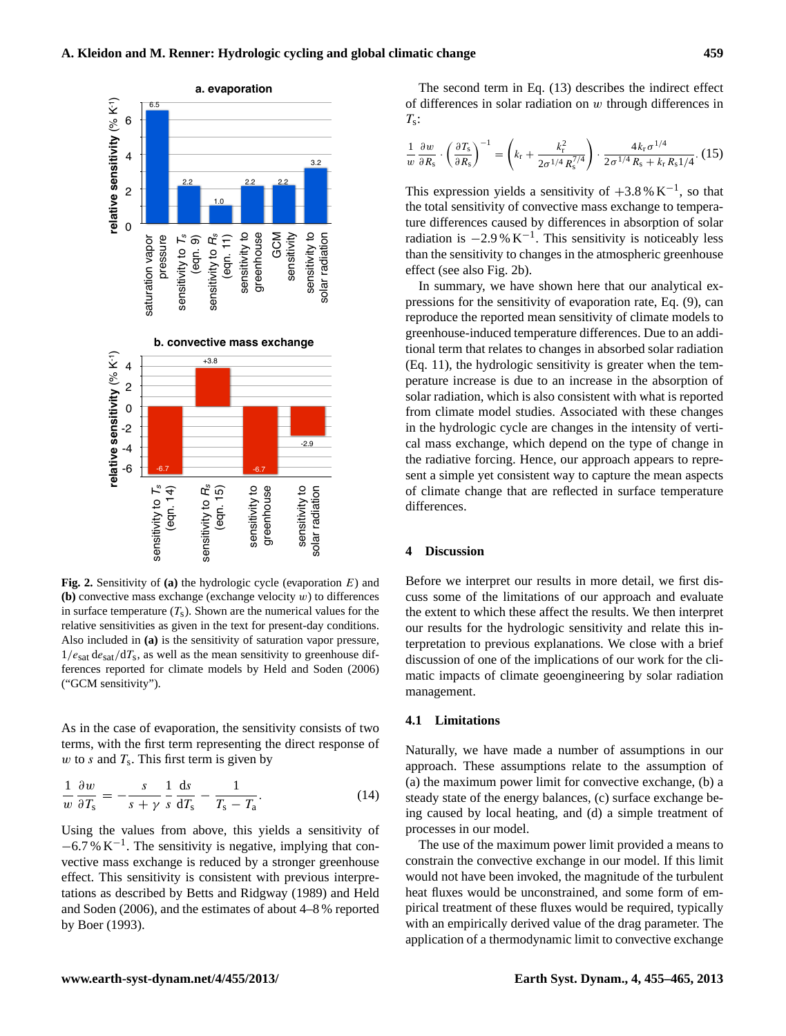

<span id="page-4-1"></span>**Fig. 2.** Sensitivity of **(a)** the hydrologic cycle (evaporation E) and **(b)** convective mass exchange (exchange velocity  $w$ ) to differences in surface temperature  $(T<sub>s</sub>)$ . Shown are the numerical values for the relative sensitivities as given in the text for present-day conditions. Also included in **(a)** is the sensitivity of saturation vapor pressure,  $1/e<sub>sat</sub>$  de<sub>sat</sub>/dT<sub>s</sub>, as well as the mean sensitivity to greenhouse differences reported for climate models by [Held and Soden](#page-9-1) [\(2006\)](#page-9-1) ("GCM sensitivity").

As in the case of evaporation, the sensitivity consists of two terms, with the first term representing the direct response of  $w$  to s and  $T_s$ . This first term is given by

$$
\frac{1}{w}\frac{\partial w}{\partial T_{\rm s}} = -\frac{s}{s+\gamma}\frac{1}{s}\frac{\mathrm{d}s}{\mathrm{d}T_{\rm s}} - \frac{1}{T_{\rm s}-T_{\rm a}}.\tag{14}
$$

Using the values from above, this yields a sensitivity of  $-6.7\%$  K<sup>-1</sup>. The sensitivity is negative, implying that convective mass exchange is reduced by a stronger greenhouse effect. This sensitivity is consistent with previous interpretations as described by [Betts and Ridgway](#page-9-9) [\(1989\)](#page-9-9) and [Held](#page-9-1) [and Soden](#page-9-1) [\(2006\)](#page-9-1), and the estimates of about 4–8 % reported by [Boer](#page-9-10) [\(1993\)](#page-9-10).

The second term in Eq. [\(13\)](#page-3-1) describes the indirect effect of differences in solar radiation on w through differences in  $T_{\rm s}$ :

<span id="page-4-3"></span>
$$
\frac{1}{w}\frac{\partial w}{\partial R_{\rm s}}\cdot\left(\frac{\partial T_{\rm s}}{\partial R_{\rm s}}\right)^{-1}=\left(k_{\rm r}+\frac{k_{\rm r}^2}{2\sigma^{1/4}R_{\rm s}^{7/4}}\right)\cdot\frac{4k_{\rm r}\sigma^{1/4}}{2\sigma^{1/4}R_{\rm s}+k_{\rm r}R_{\rm s}1/4}.\tag{15}
$$

This expression yields a sensitivity of  $+3.8\%$  K<sup>-1</sup>, so that the total sensitivity of convective mass exchange to temperature differences caused by differences in absorption of solar radiation is  $-2.9\% K^{-1}$ . This sensitivity is noticeably less than the sensitivity to changes in the atmospheric greenhouse effect (see also Fig. [2b](#page-4-1)).

In summary, we have shown here that our analytical expressions for the sensitivity of evaporation rate, Eq. [\(9\)](#page-3-2), can reproduce the reported mean sensitivity of climate models to greenhouse-induced temperature differences. Due to an additional term that relates to changes in absorbed solar radiation (Eq. [11\)](#page-3-3), the hydrologic sensitivity is greater when the temperature increase is due to an increase in the absorption of solar radiation, which is also consistent with what is reported from climate model studies. Associated with these changes in the hydrologic cycle are changes in the intensity of vertical mass exchange, which depend on the type of change in the radiative forcing. Hence, our approach appears to represent a simple yet consistent way to capture the mean aspects of climate change that are reflected in surface temperature differences.

## <span id="page-4-0"></span>**4 Discussion**

Before we interpret our results in more detail, we first discuss some of the limitations of our approach and evaluate the extent to which these affect the results. We then interpret our results for the hydrologic sensitivity and relate this interpretation to previous explanations. We close with a brief discussion of one of the implications of our work for the climatic impacts of climate geoengineering by solar radiation management.

## **4.1 Limitations**

<span id="page-4-2"></span>Naturally, we have made a number of assumptions in our approach. These assumptions relate to the assumption of (a) the maximum power limit for convective exchange, (b) a steady state of the energy balances, (c) surface exchange being caused by local heating, and (d) a simple treatment of processes in our model.

The use of the maximum power limit provided a means to constrain the convective exchange in our model. If this limit would not have been invoked, the magnitude of the turbulent heat fluxes would be unconstrained, and some form of empirical treatment of these fluxes would be required, typically with an empirically derived value of the drag parameter. The application of a thermodynamic limit to convective exchange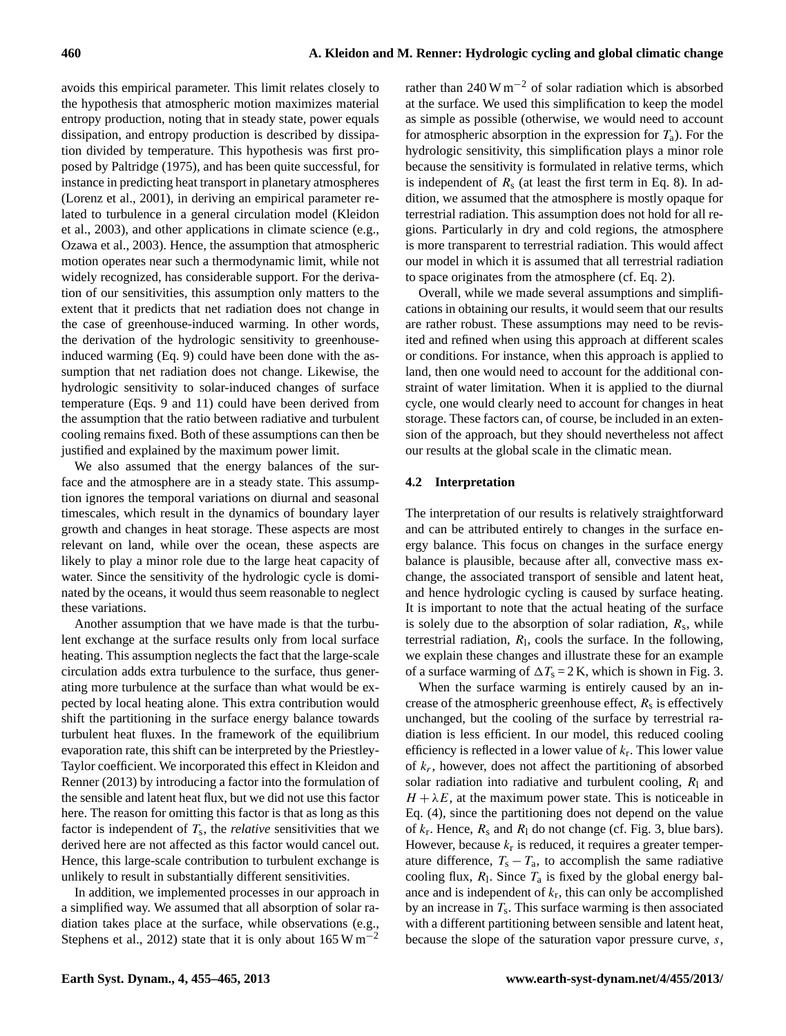avoids this empirical parameter. This limit relates closely to the hypothesis that atmospheric motion maximizes material entropy production, noting that in steady state, power equals dissipation, and entropy production is described by dissipation divided by temperature. This hypothesis was first proposed by [Paltridge](#page-10-7) [\(1975\)](#page-10-7), and has been quite successful, for instance in predicting heat transport in planetary atmospheres [\(Lorenz et al.,](#page-10-8) [2001\)](#page-10-8), in deriving an empirical parameter related to turbulence in a general circulation model [\(Kleidon](#page-10-9) [et al.,](#page-10-9) [2003\)](#page-10-9), and other applications in climate science (e.g., [Ozawa et al.,](#page-10-10) [2003\)](#page-10-10). Hence, the assumption that atmospheric motion operates near such a thermodynamic limit, while not widely recognized, has considerable support. For the derivation of our sensitivities, this assumption only matters to the extent that it predicts that net radiation does not change in the case of greenhouse-induced warming. In other words, the derivation of the hydrologic sensitivity to greenhouseinduced warming (Eq. [9\)](#page-3-2) could have been done with the assumption that net radiation does not change. Likewise, the hydrologic sensitivity to solar-induced changes of surface temperature (Eqs. [9](#page-3-2) and [11\)](#page-3-3) could have been derived from the assumption that the ratio between radiative and turbulent cooling remains fixed. Both of these assumptions can then be justified and explained by the maximum power limit.

We also assumed that the energy balances of the surface and the atmosphere are in a steady state. This assumption ignores the temporal variations on diurnal and seasonal timescales, which result in the dynamics of boundary layer growth and changes in heat storage. These aspects are most relevant on land, while over the ocean, these aspects are likely to play a minor role due to the large heat capacity of water. Since the sensitivity of the hydrologic cycle is dominated by the oceans, it would thus seem reasonable to neglect these variations.

Another assumption that we have made is that the turbulent exchange at the surface results only from local surface heating. This assumption neglects the fact that the large-scale circulation adds extra turbulence to the surface, thus generating more turbulence at the surface than what would be expected by local heating alone. This extra contribution would shift the partitioning in the surface energy balance towards turbulent heat fluxes. In the framework of the equilibrium evaporation rate, this shift can be interpreted by the Priestley-Taylor coefficient. We incorporated this effect in [Kleidon and](#page-9-7) [Renner](#page-9-7) [\(2013\)](#page-9-7) by introducing a factor into the formulation of the sensible and latent heat flux, but we did not use this factor here. The reason for omitting this factor is that as long as this factor is independent of  $T_s$ , the *relative* sensitivities that we derived here are not affected as this factor would cancel out. Hence, this large-scale contribution to turbulent exchange is unlikely to result in substantially different sensitivities.

In addition, we implemented processes in our approach in a simplified way. We assumed that all absorption of solar radiation takes place at the surface, while observations (e.g., [Stephens et al.,](#page-10-11) [2012\)](#page-10-11) state that it is only about 165 W m<sup>-2</sup>

rather than 240 W m<sup>-2</sup> of solar radiation which is absorbed at the surface. We used this simplification to keep the model as simple as possible (otherwise, we would need to account for atmospheric absorption in the expression for  $T_a$ ). For the hydrologic sensitivity, this simplification plays a minor role because the sensitivity is formulated in relative terms, which is independent of  $R_s$  (at least the first term in Eq. [8\)](#page-3-0). In addition, we assumed that the atmosphere is mostly opaque for terrestrial radiation. This assumption does not hold for all regions. Particularly in dry and cold regions, the atmosphere is more transparent to terrestrial radiation. This would affect our model in which it is assumed that all terrestrial radiation to space originates from the atmosphere (cf. Eq. [2\)](#page-2-1).

Overall, while we made several assumptions and simplifications in obtaining our results, it would seem that our results are rather robust. These assumptions may need to be revisited and refined when using this approach at different scales or conditions. For instance, when this approach is applied to land, then one would need to account for the additional constraint of water limitation. When it is applied to the diurnal cycle, one would clearly need to account for changes in heat storage. These factors can, of course, be included in an extension of the approach, but they should nevertheless not affect our results at the global scale in the climatic mean.

## **4.2 Interpretation**

The interpretation of our results is relatively straightforward and can be attributed entirely to changes in the surface energy balance. This focus on changes in the surface energy balance is plausible, because after all, convective mass exchange, the associated transport of sensible and latent heat, and hence hydrologic cycling is caused by surface heating. It is important to note that the actual heating of the surface is solely due to the absorption of solar radiation,  $R_s$ , while terrestrial radiation,  $R_1$ , cools the surface. In the following, we explain these changes and illustrate these for an example of a surface warming of  $\Delta T_s = 2$  K, which is shown in Fig. [3.](#page-6-0)

When the surface warming is entirely caused by an increase of the atmospheric greenhouse effect,  $R_s$  is effectively unchanged, but the cooling of the surface by terrestrial radiation is less efficient. In our model, this reduced cooling efficiency is reflected in a lower value of  $k_r$ . This lower value of  $k_r$ , however, does not affect the partitioning of absorbed solar radiation into radiative and turbulent cooling,  $R_1$  and  $H + \lambda E$ , at the maximum power state. This is noticeable in Eq. [\(4\)](#page-2-2), since the partitioning does not depend on the value of  $k_r$ . Hence,  $R_s$  and  $R_l$  do not change (cf. Fig. [3,](#page-6-0) blue bars). However, because  $k_r$  is reduced, it requires a greater temperature difference,  $T_s - T_a$ , to accomplish the same radiative cooling flux,  $R_1$ . Since  $T_a$  is fixed by the global energy balance and is independent of  $k_r$ , this can only be accomplished by an increase in  $T_s$ . This surface warming is then associated with a different partitioning between sensible and latent heat, because the slope of the saturation vapor pressure curve, s,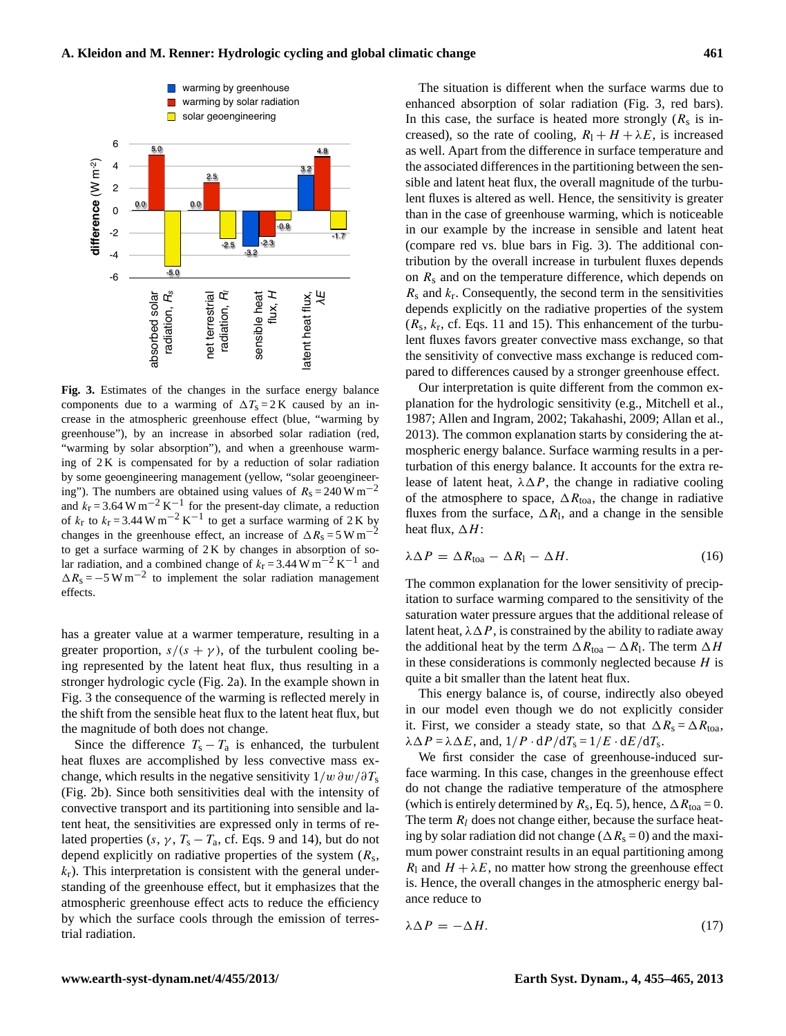A. Kleidon and M. Renner: Hydrologic cycling and global climatic change **A. Kleidon and M. Renner:** Hydrologic cycling and global climatic change



<span id="page-6-0"></span>**Fig. 3.** Estimates of the changes in the surface energy balance components due to a warming of  $\Delta T_s = 2$  K caused by an increase in the atmospheric greenhouse effect (blue, "warming by greenhouse"), by an increase in absorbed solar radiation (red, "warming by solar absorption"), and when a greenhouse warming of 2 K is compensated for by a reduction of solar radiation by some geoengineering management (yellow, "solar geoengineering"). The numbers are obtained using values of  $R_s = 240 \text{ W m}^{-2}$ and  $k_r = 3.64 \text{ W m}^{-2} \text{ K}^{-1}$  for the present-day climate, a reduction of  $k_r$  to  $k_r = 3.44 \text{ W m}^{-2} \text{ K}^{-1}$  to get a surface warming of 2 K by changes in the greenhouse effect, an increase of  $\Delta R_s = 5$  W m<sup>-2</sup> to get a surface warming of 2 K by changes in absorption of solar radiation, and a combined change of  $k = 3.44 \text{ W m}^{-2} \text{ K}^{-1}$  and  $\Delta R_s = -5$  W m<sup>-2</sup> to implement the solar radiation management effects.

has a greater value at a warmer temperature, resulting in a greater proportion,  $s/(s + \gamma)$ , of the turbulent cooling being represented by the latent heat flux, thus resulting in a stronger hydrologic cycle (Fig. [2a](#page-4-1)). In the example shown in Fig. [3](#page-6-0) the consequence of the warming is reflected merely in the shift from the sensible heat flux to the latent heat flux, but the magnitude of both does not change.

Since the difference  $T_s - T_a$  is enhanced, the turbulent heat fluxes are accomplished by less convective mass exchange, which results in the negative sensitivity  $1/w \partial w / \partial T_s$ (Fig. [2b](#page-4-1)). Since both sensitivities deal with the intensity of convective transport and its partitioning into sensible and latent heat, the sensitivities are expressed only in terms of related properties  $(s, \gamma, T_s - T_a, \text{cf. Eqs. 9 and 14})$  $(s, \gamma, T_s - T_a, \text{cf. Eqs. 9 and 14})$  $(s, \gamma, T_s - T_a, \text{cf. Eqs. 9 and 14})$ , but do not depend explicitly on radiative properties of the system  $(R_s)$ ,  $k_{\rm r}$ ). This interpretation is consistent with the general understanding of the greenhouse effect, but it emphasizes that the atmospheric greenhouse effect acts to reduce the efficiency by which the surface cools through the emission of terrestrial radiation.

The situation is different when the surface warms due to enhanced absorption of solar radiation (Fig. [3,](#page-6-0) red bars). In this case, the surface is heated more strongly  $(R_s$  is increased), so the rate of cooling,  $R_1 + H + \lambda E$ , is increased as well. Apart from the difference in surface temperature and the associated differences in the partitioning between the sensible and latent heat flux, the overall magnitude of the turbulent fluxes is altered as well. Hence, the sensitivity is greater than in the case of greenhouse warming, which is noticeable in our example by the increase in sensible and latent heat (compare red vs. blue bars in Fig. [3\)](#page-6-0). The additional contribution by the overall increase in turbulent fluxes depends on  $R_s$  and on the temperature difference, which depends on  $R_s$  and  $k_r$ . Consequently, the second term in the sensitivities depends explicitly on the radiative properties of the system  $(R_s, k_r, \text{cf. Eqs. 11 and 15).}$  $(R_s, k_r, \text{cf. Eqs. 11 and 15).}$  $(R_s, k_r, \text{cf. Eqs. 11 and 15).}$  $(R_s, k_r, \text{cf. Eqs. 11 and 15).}$  $(R_s, k_r, \text{cf. Eqs. 11 and 15).}$  This enhancement of the turbulent fluxes favors greater convective mass exchange, so that the sensitivity of convective mass exchange is reduced compared to differences caused by a stronger greenhouse effect.

Our interpretation is quite different from the common explanation for the hydrologic sensitivity (e.g., [Mitchell et al.,](#page-10-1) [1987;](#page-10-1) [Allen and Ingram,](#page-9-0) [2002;](#page-9-0) [Takahashi,](#page-10-2) [2009;](#page-10-2) [Allan et al.,](#page-9-2) [2013\)](#page-9-2). The common explanation starts by considering the atmospheric energy balance. Surface warming results in a perturbation of this energy balance. It accounts for the extra release of latent heat,  $\lambda \Delta P$ , the change in radiative cooling of the atmosphere to space,  $\Delta R_{\text{toa}}$ , the change in radiative fluxes from the surface,  $\Delta R_l$ , and a change in the sensible heat flux,  $\Delta H$ :

<span id="page-6-1"></span>
$$
\lambda \Delta P = \Delta R_{\text{toa}} - \Delta R_{\text{l}} - \Delta H. \tag{16}
$$

The common explanation for the lower sensitivity of precipitation to surface warming compared to the sensitivity of the saturation water pressure argues that the additional release of latent heat,  $\lambda \Delta P$ , is constrained by the ability to radiate away the additional heat by the term  $\Delta R_{\text{toa}} - \Delta R_{\text{l}}$ . The term  $\Delta H$ in these considerations is commonly neglected because  $H$  is quite a bit smaller than the latent heat flux.

This energy balance is, of course, indirectly also obeyed in our model even though we do not explicitly consider it. First, we consider a steady state, so that  $\Delta R_s = \Delta R_{\text{toa}}$ ,  $\lambda \Delta P = \lambda \Delta E$ , and,  $1/P \cdot dP/dT_s = 1/E \cdot dE/dT_s$ .

We first consider the case of greenhouse-induced surface warming. In this case, changes in the greenhouse effect do not change the radiative temperature of the atmosphere (which is entirely determined by  $R_s$ , Eq. [5\)](#page-2-4), hence,  $\Delta R_{\text{toa}} = 0$ . The term  $R_l$  does not change either, because the surface heating by solar radiation did not change ( $\Delta R_s = 0$ ) and the maximum power constraint results in an equal partitioning among  $R_1$  and  $H + \lambda E$ , no matter how strong the greenhouse effect is. Hence, the overall changes in the atmospheric energy balance reduce to

$$
\lambda \Delta P = -\Delta H. \tag{17}
$$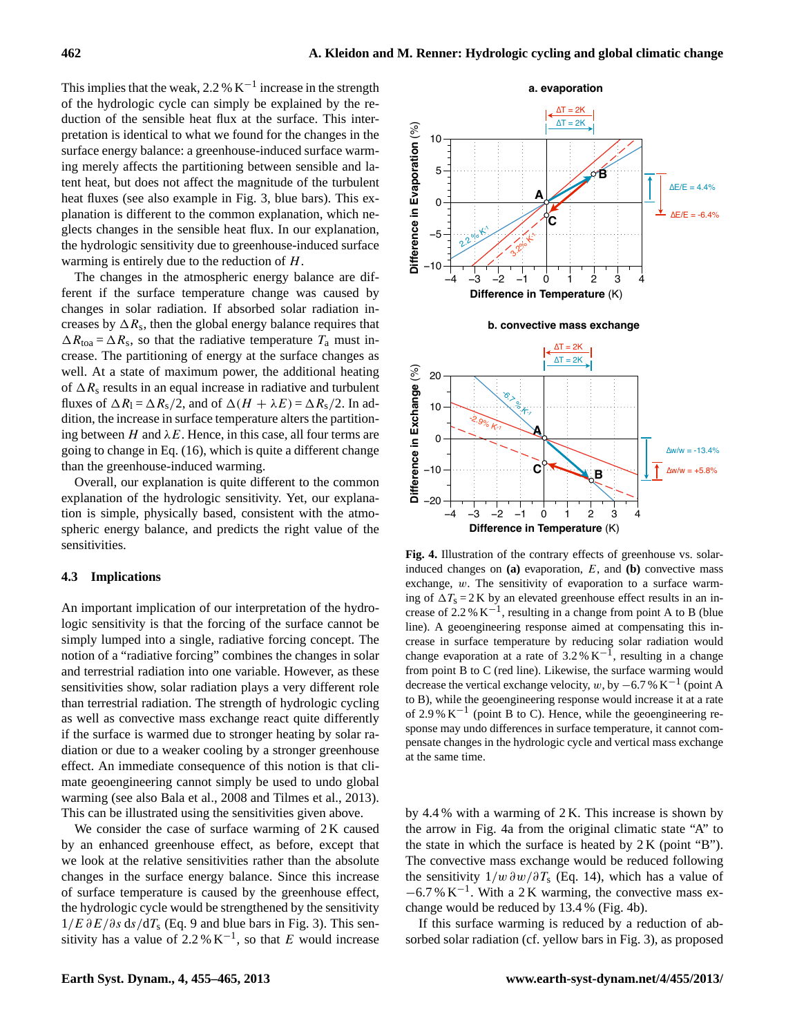This implies that the weak, 2.2 %  $K^{-1}$  increase in the strength of the hydrologic cycle can simply be explained by the reduction of the sensible heat flux at the surface. This interpretation is identical to what we found for the changes in the surface energy balance: a greenhouse-induced surface warming merely affects the partitioning between sensible and latent heat, but does not affect the magnitude of the turbulent heat fluxes (see also example in Fig. [3,](#page-6-0) blue bars). This explanation is different to the common explanation, which neglects changes in the sensible heat flux. In our explanation, the hydrologic sensitivity due to greenhouse-induced surface warming is entirely due to the reduction of H.

The changes in the atmospheric energy balance are different if the surface temperature change was caused by changes in solar radiation. If absorbed solar radiation increases by  $\Delta R_s$ , then the global energy balance requires that  $\Delta R_{\text{toa}} = \Delta R_{\text{s}}$ , so that the radiative temperature  $T_{\text{a}}$  must increase. The partitioning of energy at the surface changes as well. At a state of maximum power, the additional heating of  $\Delta R_s$  results in an equal increase in radiative and turbulent fluxes of  $\Delta R_l = \Delta R_s/2$ , and of  $\Delta (H + \lambda E) = \Delta R_s/2$ . In addition, the increase in surface temperature alters the partitioning between H and  $\lambda E$ . Hence, in this case, all four terms are going to change in Eq. [\(16\)](#page-6-1), which is quite a different change than the greenhouse-induced warming.

Overall, our explanation is quite different to the common explanation of the hydrologic sensitivity. Yet, our explanation is simple, physically based, consistent with the atmospheric energy balance, and predicts the right value of the sensitivities.

## **4.3 Implications**

An important implication of our interpretation of the hydrologic sensitivity is that the forcing of the surface cannot be simply lumped into a single, radiative forcing concept. The notion of a "radiative forcing" combines the changes in solar and terrestrial radiation into one variable. However, as these sensitivities show, solar radiation plays a very different role than terrestrial radiation. The strength of hydrologic cycling as well as convective mass exchange react quite differently if the surface is warmed due to stronger heating by solar radiation or due to a weaker cooling by a stronger greenhouse effect. An immediate consequence of this notion is that climate geoengineering cannot simply be used to undo global warming (see also [Bala et al.,](#page-9-5) [2008](#page-9-5) and [Tilmes et al.,](#page-10-4) [2013\)](#page-10-4). This can be illustrated using the sensitivities given above.

We consider the case of surface warming of 2 K caused by an enhanced greenhouse effect, as before, except that we look at the relative sensitivities rather than the absolute changes in the surface energy balance. Since this increase of surface temperature is caused by the greenhouse effect, the hydrologic cycle would be strengthened by the sensitivity  $1/E \partial E/\partial s$  ds/dT<sub>s</sub> (Eq. [9](#page-3-2) and blue bars in Fig. [3\)](#page-6-0). This sensitivity has a value of 2.2% K<sup>-1</sup>, so that E would increase



<span id="page-7-0"></span>**Fig. 4.** Illustration of the contrary effects of greenhouse vs. solarinduced changes on  $(a)$  evaporation,  $E$ , and  $(b)$  convective mass exchange, w. The sensitivity of evaporation to a surface warming of  $\Delta T_s = 2$  K by an elevated greenhouse effect results in an increase of 2.2 %  $K^{-1}$ , resulting in a change from point A to B (blue line). A geoengineering response aimed at compensating this increase in surface temperature by reducing solar radiation would change evaporation at a rate of 3.2%  $K^{-1}$ , resulting in a change from point B to C (red line). Likewise, the surface warming would decrease the vertical exchange velocity, w, by  $-6.7\%$  K<sup>-1</sup> (point A to B), while the geoengineering response would increase it at a rate of 2.9 % K−<sup>1</sup> (point B to C). Hence, while the geoengineering response may undo differences in surface temperature, it cannot compensate changes in the hydrologic cycle and vertical mass exchange at the same time.

by 4.4 % with a warming of 2 K. This increase is shown by the arrow in Fig. [4a](#page-7-0) from the original climatic state "A" to the state in which the surface is heated by  $2K$  (point "B"). The convective mass exchange would be reduced following the sensitivity  $1/w \partial w / \partial T_s$  (Eq. [14\)](#page-4-2), which has a value of  $-6.7\%$  K<sup>-1</sup>. With a 2 K warming, the convective mass exchange would be reduced by 13.4 % (Fig. [4b](#page-7-0)).

If this surface warming is reduced by a reduction of absorbed solar radiation (cf. yellow bars in Fig. [3\)](#page-6-0), as proposed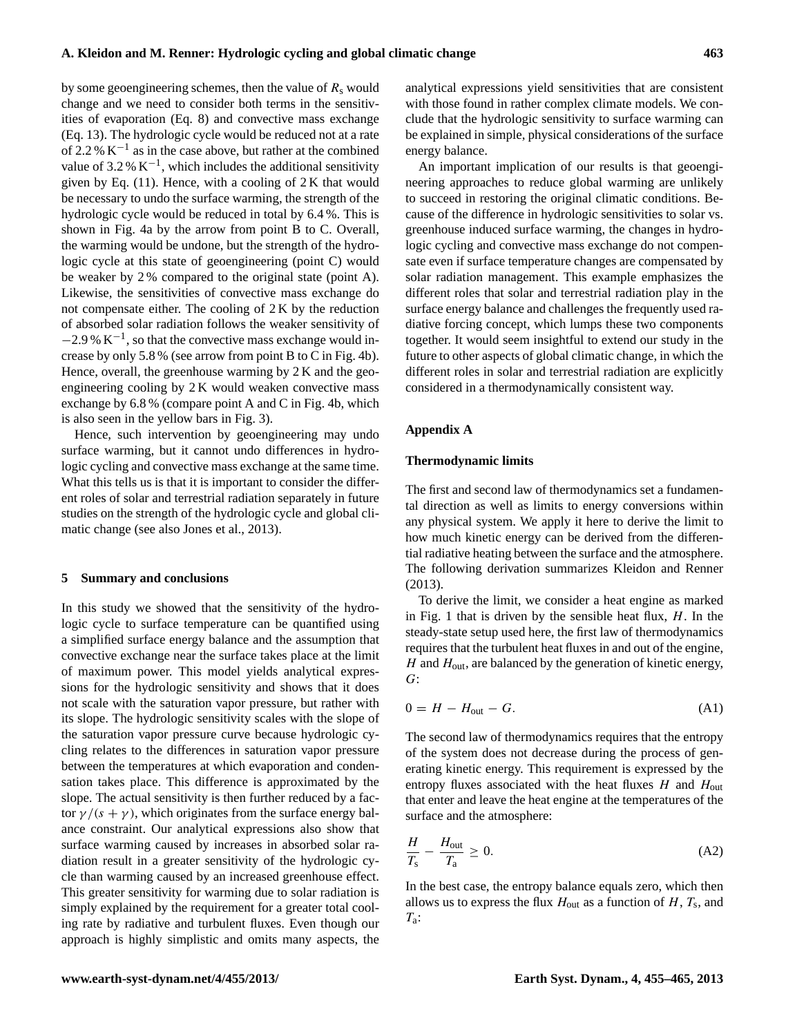by some geoengineering schemes, then the value of  $R_s$  would change and we need to consider both terms in the sensitivities of evaporation (Eq. [8\)](#page-3-0) and convective mass exchange (Eq. [13\)](#page-3-1). The hydrologic cycle would be reduced not at a rate of 2.2 %  $K^{-1}$  as in the case above, but rather at the combined value of 3.2 %  $K^{-1}$ , which includes the additional sensitivity given by Eq. [\(11\)](#page-3-3). Hence, with a cooling of 2 K that would be necessary to undo the surface warming, the strength of the hydrologic cycle would be reduced in total by 6.4 %. This is shown in Fig. [4a](#page-7-0) by the arrow from point B to C. Overall, the warming would be undone, but the strength of the hydrologic cycle at this state of geoengineering (point C) would be weaker by 2 % compared to the original state (point A). Likewise, the sensitivities of convective mass exchange do not compensate either. The cooling of 2 K by the reduction of absorbed solar radiation follows the weaker sensitivity of  $-2.9\%$  K<sup>-1</sup>, so that the convective mass exchange would increase by only 5.8 % (see arrow from point B to C in Fig. [4b](#page-7-0)). Hence, overall, the greenhouse warming by 2 K and the geoengineering cooling by 2 K would weaken convective mass exchange by 6.8 % (compare point A and C in Fig. [4b](#page-7-0), which is also seen in the yellow bars in Fig. [3\)](#page-6-0).

Hence, such intervention by geoengineering may undo surface warming, but it cannot undo differences in hydrologic cycling and convective mass exchange at the same time. What this tells us is that it is important to consider the different roles of solar and terrestrial radiation separately in future studies on the strength of the hydrologic cycle and global climatic change (see also [Jones et al.,](#page-9-11) [2013\)](#page-9-11).

#### **5 Summary and conclusions**

In this study we showed that the sensitivity of the hydrologic cycle to surface temperature can be quantified using a simplified surface energy balance and the assumption that convective exchange near the surface takes place at the limit of maximum power. This model yields analytical expressions for the hydrologic sensitivity and shows that it does not scale with the saturation vapor pressure, but rather with its slope. The hydrologic sensitivity scales with the slope of the saturation vapor pressure curve because hydrologic cycling relates to the differences in saturation vapor pressure between the temperatures at which evaporation and condensation takes place. This difference is approximated by the slope. The actual sensitivity is then further reduced by a factor  $\gamma/(s + \gamma)$ , which originates from the surface energy balance constraint. Our analytical expressions also show that surface warming caused by increases in absorbed solar radiation result in a greater sensitivity of the hydrologic cycle than warming caused by an increased greenhouse effect. This greater sensitivity for warming due to solar radiation is simply explained by the requirement for a greater total cooling rate by radiative and turbulent fluxes. Even though our approach is highly simplistic and omits many aspects, the analytical expressions yield sensitivities that are consistent with those found in rather complex climate models. We conclude that the hydrologic sensitivity to surface warming can be explained in simple, physical considerations of the surface energy balance.

An important implication of our results is that geoengineering approaches to reduce global warming are unlikely to succeed in restoring the original climatic conditions. Because of the difference in hydrologic sensitivities to solar vs. greenhouse induced surface warming, the changes in hydrologic cycling and convective mass exchange do not compensate even if surface temperature changes are compensated by solar radiation management. This example emphasizes the different roles that solar and terrestrial radiation play in the surface energy balance and challenges the frequently used radiative forcing concept, which lumps these two components together. It would seem insightful to extend our study in the future to other aspects of global climatic change, in which the different roles in solar and terrestrial radiation are explicitly considered in a thermodynamically consistent way.

## **Appendix A**

# **Thermodynamic limits**

The first and second law of thermodynamics set a fundamental direction as well as limits to energy conversions within any physical system. We apply it here to derive the limit to how much kinetic energy can be derived from the differential radiative heating between the surface and the atmosphere. The following derivation summarizes [Kleidon and Renner](#page-9-7) [\(2013\)](#page-9-7).

To derive the limit, we consider a heat engine as marked in Fig. [1](#page-1-0) that is driven by the sensible heat flux,  $H$ . In the steady-state setup used here, the first law of thermodynamics requires that the turbulent heat fluxes in and out of the engine,  $H$  and  $H<sub>out</sub>$ , are balanced by the generation of kinetic energy, G:

$$
0 = H - H_{\text{out}} - G. \tag{A1}
$$

The second law of thermodynamics requires that the entropy of the system does not decrease during the process of generating kinetic energy. This requirement is expressed by the entropy fluxes associated with the heat fluxes  $H$  and  $H<sub>out</sub>$ that enter and leave the heat engine at the temperatures of the surface and the atmosphere:

<span id="page-8-0"></span>
$$
\frac{H}{T_{\rm s}} - \frac{H_{\rm out}}{T_{\rm a}} \ge 0. \tag{A2}
$$

In the best case, the entropy balance equals zero, which then allows us to express the flux  $H_{\text{out}}$  as a function of  $H$ ,  $T_{\text{s}}$ , and  $T_{\rm a}$ :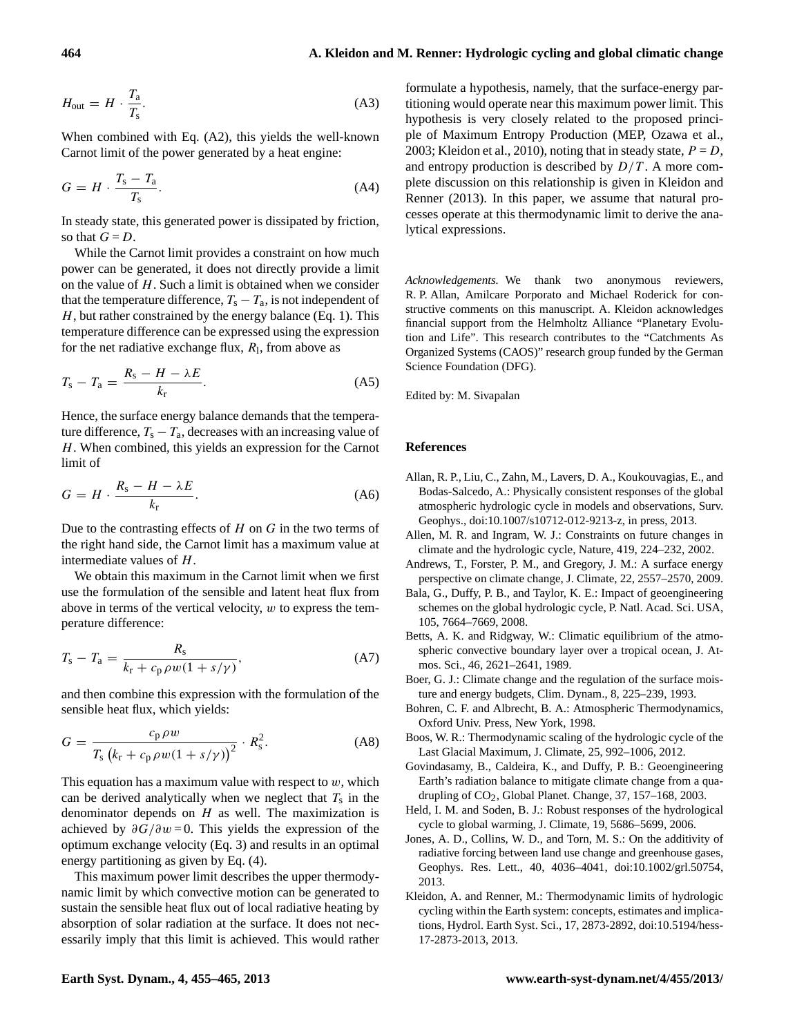# **464 A. Kleidon and M. Renner: Hydrologic cycling and global climatic change**

$$
H_{\text{out}} = H \cdot \frac{T_{\text{a}}}{T_{\text{s}}}.
$$
 (A3)

When combined with Eq. [\(A2\)](#page-8-0), this yields the well-known Carnot limit of the power generated by a heat engine:

$$
G = H \cdot \frac{T_s - T_a}{T_s}.
$$
 (A4)

In steady state, this generated power is dissipated by friction, so that  $G = D$ .

While the Carnot limit provides a constraint on how much power can be generated, it does not directly provide a limit on the value of  $H$ . Such a limit is obtained when we consider that the temperature difference,  $T_s - T_a$ , is not independent of  $H$ , but rather constrained by the energy balance (Eq. [1\)](#page-1-1). This temperature difference can be expressed using the expression for the net radiative exchange flux,  $R_1$ , from above as

$$
T_{\rm s} - T_{\rm a} = \frac{R_{\rm s} - H - \lambda E}{k_{\rm r}}.\tag{A5}
$$

Hence, the surface energy balance demands that the temperature difference,  $T_s - T_a$ , decreases with an increasing value of H. When combined, this yields an expression for the Carnot limit of

$$
G = H \cdot \frac{R_{\rm s} - H - \lambda E}{k_{\rm r}}.\tag{A6}
$$

Due to the contrasting effects of  $H$  on  $G$  in the two terms of the right hand side, the Carnot limit has a maximum value at intermediate values of H.

We obtain this maximum in the Carnot limit when we first use the formulation of the sensible and latent heat flux from above in terms of the vertical velocity,  $w$  to express the temperature difference:

$$
T_{\rm s} - T_{\rm a} = \frac{R_{\rm s}}{k_{\rm r} + c_{\rm p}\rho w (1 + s/\gamma)},\tag{A7}
$$

and then combine this expression with the formulation of the sensible heat flux, which yields:

$$
G = \frac{c_{\mathbf{p}} \rho w}{T_{\mathbf{s}} \left(k_{\mathbf{r}} + c_{\mathbf{p}} \rho w (1 + s/\gamma)\right)^2} \cdot R_{\mathbf{s}}^2.
$$
 (A8)

This equation has a maximum value with respect to  $w$ , which can be derived analytically when we neglect that  $T_s$  in the denominator depends on  $H$  as well. The maximization is achieved by  $\partial G/\partial w = 0$ . This yields the expression of the optimum exchange velocity (Eq. [3\)](#page-2-5) and results in an optimal energy partitioning as given by Eq. [\(4\)](#page-2-2).

This maximum power limit describes the upper thermodynamic limit by which convective motion can be generated to sustain the sensible heat flux out of local radiative heating by absorption of solar radiation at the surface. It does not necessarily imply that this limit is achieved. This would rather

formulate a hypothesis, namely, that the surface-energy partitioning would operate near this maximum power limit. This hypothesis is very closely related to the proposed principle of Maximum Entropy Production (MEP, [Ozawa et al.,](#page-10-10) [2003;](#page-10-10) [Kleidon et al.,](#page-10-12) [2010\)](#page-10-12), noting that in steady state,  $P = D$ , and entropy production is described by  $D/T$ . A more complete discussion on this relationship is given in [Kleidon and](#page-9-7) [Renner](#page-9-7) [\(2013\)](#page-9-7). In this paper, we assume that natural processes operate at this thermodynamic limit to derive the analytical expressions.

*Acknowledgements.* We thank two anonymous reviewers, R. P. Allan, Amilcare Porporato and Michael Roderick for constructive comments on this manuscript. A. Kleidon acknowledges financial support from the Helmholtz Alliance "Planetary Evolution and Life". This research contributes to the "Catchments As Organized Systems (CAOS)" research group funded by the German Science Foundation (DFG).

Edited by: M. Sivapalan

#### **References**

- <span id="page-9-2"></span>Allan, R. P., Liu, C., Zahn, M., Lavers, D. A., Koukouvagias, E., and Bodas-Salcedo, A.: Physically consistent responses of the global atmospheric hydrologic cycle in models and observations, Surv. Geophys., doi[:10.1007/s10712-012-9213-z,](http://dx.doi.org/10.1007/s10712-012-9213-z) in press, 2013.
- <span id="page-9-0"></span>Allen, M. R. and Ingram, W. J.: Constraints on future changes in climate and the hydrologic cycle, Nature, 419, 224–232, 2002.
- <span id="page-9-4"></span>Andrews, T., Forster, P. M., and Gregory, J. M.: A surface energy perspective on climate change, J. Climate, 22, 2557–2570, 2009.
- <span id="page-9-5"></span>Bala, G., Duffy, P. B., and Taylor, K. E.: Impact of geoengineering schemes on the global hydrologic cycle, P. Natl. Acad. Sci. USA, 105, 7664–7669, 2008.
- <span id="page-9-9"></span>Betts, A. K. and Ridgway, W.: Climatic equilibrium of the atmospheric convective boundary layer over a tropical ocean, J. Atmos. Sci., 46, 2621–2641, 1989.
- <span id="page-9-10"></span>Boer, G. J.: Climate change and the regulation of the surface moisture and energy budgets, Clim. Dynam., 8, 225–239, 1993.
- <span id="page-9-8"></span>Bohren, C. F. and Albrecht, B. A.: Atmospheric Thermodynamics, Oxford Univ. Press, New York, 1998.
- <span id="page-9-3"></span>Boos, W. R.: Thermodynamic scaling of the hydrologic cycle of the Last Glacial Maximum, J. Climate, 25, 992–1006, 2012.
- <span id="page-9-6"></span>Govindasamy, B., Caldeira, K., and Duffy, P. B.: Geoengineering Earth's radiation balance to mitigate climate change from a quadrupling of  $CO<sub>2</sub>$ , Global Planet. Change, 37, 157-168, 2003.
- <span id="page-9-1"></span>Held, I. M. and Soden, B. J.: Robust responses of the hydrological cycle to global warming, J. Climate, 19, 5686–5699, 2006.
- <span id="page-9-11"></span>Jones, A. D., Collins, W. D., and Torn, M. S.: On the additivity of radiative forcing between land use change and greenhouse gases, Geophys. Res. Lett., 40, 4036–4041, doi[:10.1002/grl.50754,](http://dx.doi.org/10.1002/grl.50754) 2013.
- <span id="page-9-7"></span>Kleidon, A. and Renner, M.: Thermodynamic limits of hydrologic cycling within the Earth system: concepts, estimates and implications, Hydrol. Earth Syst. Sci., 17, 2873-2892, doi[:10.5194/hess-](http://dx.doi.org/10.5194/hess-17-2873-2013)[17-2873-2013,](http://dx.doi.org/10.5194/hess-17-2873-2013) 2013.